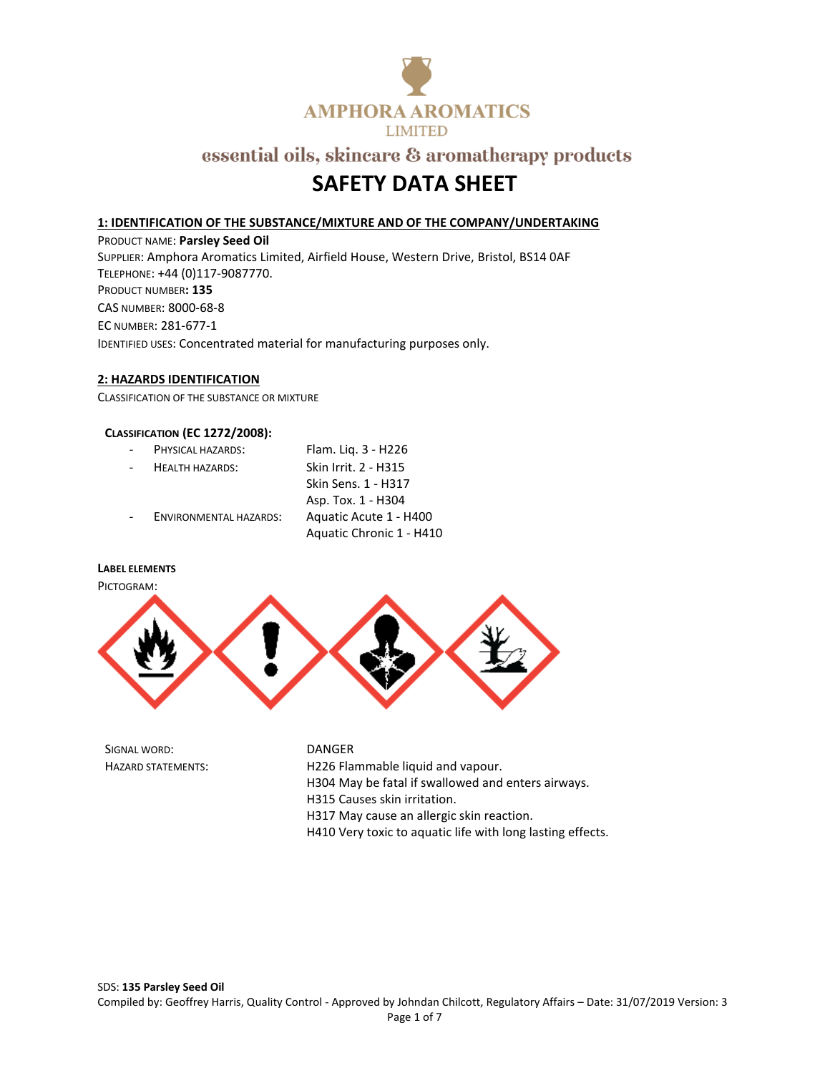

# **SAFETY DATA SHEET**

### **1: IDENTIFICATION OF THE SUBSTANCE/MIXTURE AND OF THE COMPANY/UNDERTAKING**

PRODUCT NAME: **Parsley Seed Oil** SUPPLIER: Amphora Aromatics Limited, Airfield House, Western Drive, Bristol, BS14 0AF TELEPHONE: +44 (0)117-9087770. PRODUCT NUMBER**: 135** CAS NUMBER: 8000-68-8 EC NUMBER: 281-677-1 IDENTIFIED USES: Concentrated material for manufacturing purposes only.

### **2: HAZARDS IDENTIFICATION**

CLASSIFICATION OF THE SUBSTANCE OR MIXTURE

### **CLASSIFICATION (EC 1272/2008):**

| PHYSICAL HAZARDS:             | Flam. Liq. 3 - H226      |
|-------------------------------|--------------------------|
| <b>HEALTH HAZARDS:</b>        | Skin Irrit. 2 - H315     |
|                               | Skin Sens. 1 - H317      |
|                               | Asp. Tox. 1 - H304       |
| <b>ENVIRONMENTAL HAZARDS:</b> | Aquatic Acute 1 - H400   |
|                               | Aquatic Chronic 1 - H410 |

### **LABEL ELEMENTS**



SIGNAL WORD: DANGER

HAZARD STATEMENTS: H226 Flammable liquid and vapour. H304 May be fatal if swallowed and enters airways. H315 Causes skin irritation. H317 May cause an allergic skin reaction. H410 Very toxic to aquatic life with long lasting effects.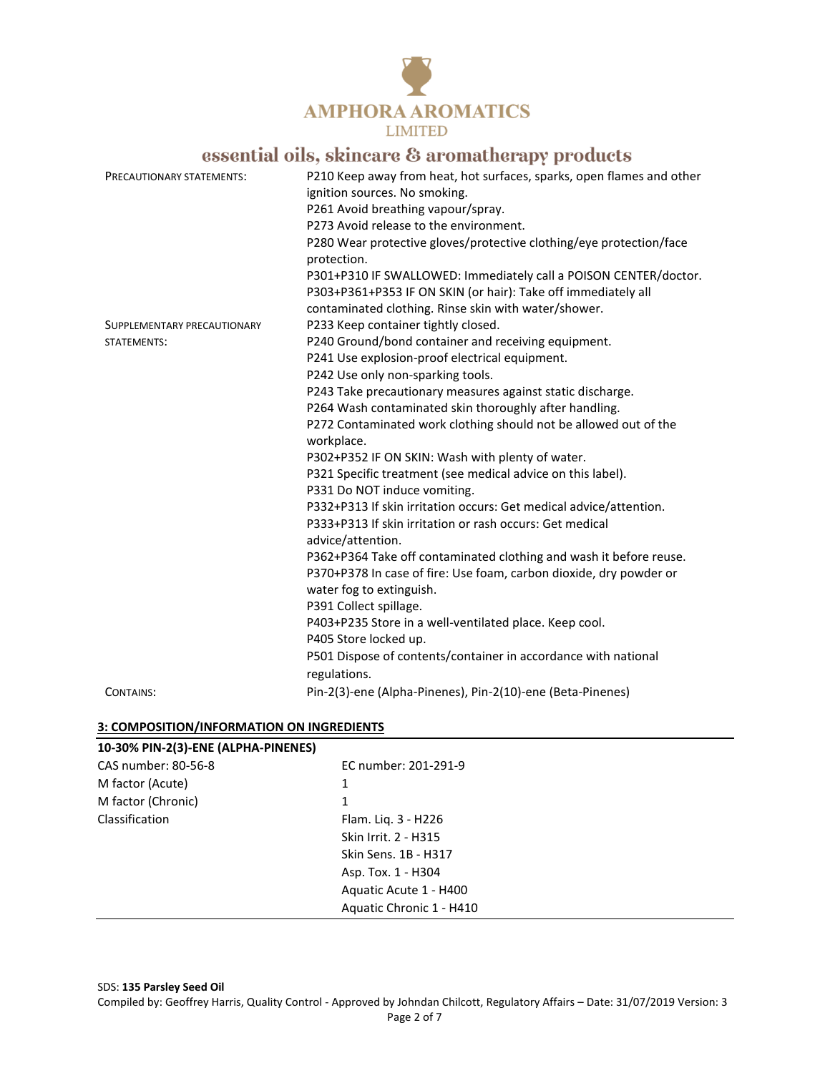

| <b>PRECAUTIONARY STATEMENTS:</b> | P210 Keep away from heat, hot surfaces, sparks, open flames and other              |
|----------------------------------|------------------------------------------------------------------------------------|
|                                  | ignition sources. No smoking.                                                      |
|                                  | P261 Avoid breathing vapour/spray.                                                 |
|                                  | P273 Avoid release to the environment.                                             |
|                                  | P280 Wear protective gloves/protective clothing/eye protection/face<br>protection. |
|                                  | P301+P310 IF SWALLOWED: Immediately call a POISON CENTER/doctor.                   |
|                                  | P303+P361+P353 IF ON SKIN (or hair): Take off immediately all                      |
|                                  | contaminated clothing. Rinse skin with water/shower.                               |
| SUPPLEMENTARY PRECAUTIONARY      | P233 Keep container tightly closed.                                                |
| STATEMENTS:                      | P240 Ground/bond container and receiving equipment.                                |
|                                  | P241 Use explosion-proof electrical equipment.                                     |
|                                  | P242 Use only non-sparking tools.                                                  |
|                                  | P243 Take precautionary measures against static discharge.                         |
|                                  | P264 Wash contaminated skin thoroughly after handling.                             |
|                                  | P272 Contaminated work clothing should not be allowed out of the<br>workplace.     |
|                                  | P302+P352 IF ON SKIN: Wash with plenty of water.                                   |
|                                  | P321 Specific treatment (see medical advice on this label).                        |
|                                  | P331 Do NOT induce vomiting.                                                       |
|                                  | P332+P313 If skin irritation occurs: Get medical advice/attention.                 |
|                                  | P333+P313 If skin irritation or rash occurs: Get medical                           |
|                                  | advice/attention.                                                                  |
|                                  | P362+P364 Take off contaminated clothing and wash it before reuse.                 |
|                                  | P370+P378 In case of fire: Use foam, carbon dioxide, dry powder or                 |
|                                  | water fog to extinguish.                                                           |
|                                  | P391 Collect spillage.                                                             |
|                                  | P403+P235 Store in a well-ventilated place. Keep cool.                             |
|                                  | P405 Store locked up.                                                              |
|                                  | P501 Dispose of contents/container in accordance with national                     |
|                                  | regulations.                                                                       |
| CONTAINS:                        | Pin-2(3)-ene (Alpha-Pinenes), Pin-2(10)-ene (Beta-Pinenes)                         |

### **3: COMPOSITION/INFORMATION ON INGREDIENTS**

| 10-30% PIN-2(3)-ENE (ALPHA-PINENES) |                          |
|-------------------------------------|--------------------------|
| CAS number: 80-56-8                 | EC number: 201-291-9     |
| M factor (Acute)                    | 1                        |
| M factor (Chronic)                  | 1                        |
| Classification                      | Flam. Lig. 3 - H226      |
|                                     | Skin Irrit. 2 - H315     |
|                                     | Skin Sens. 1B - H317     |
|                                     | Asp. Tox. 1 - H304       |
|                                     | Aquatic Acute 1 - H400   |
|                                     | Aquatic Chronic 1 - H410 |
|                                     |                          |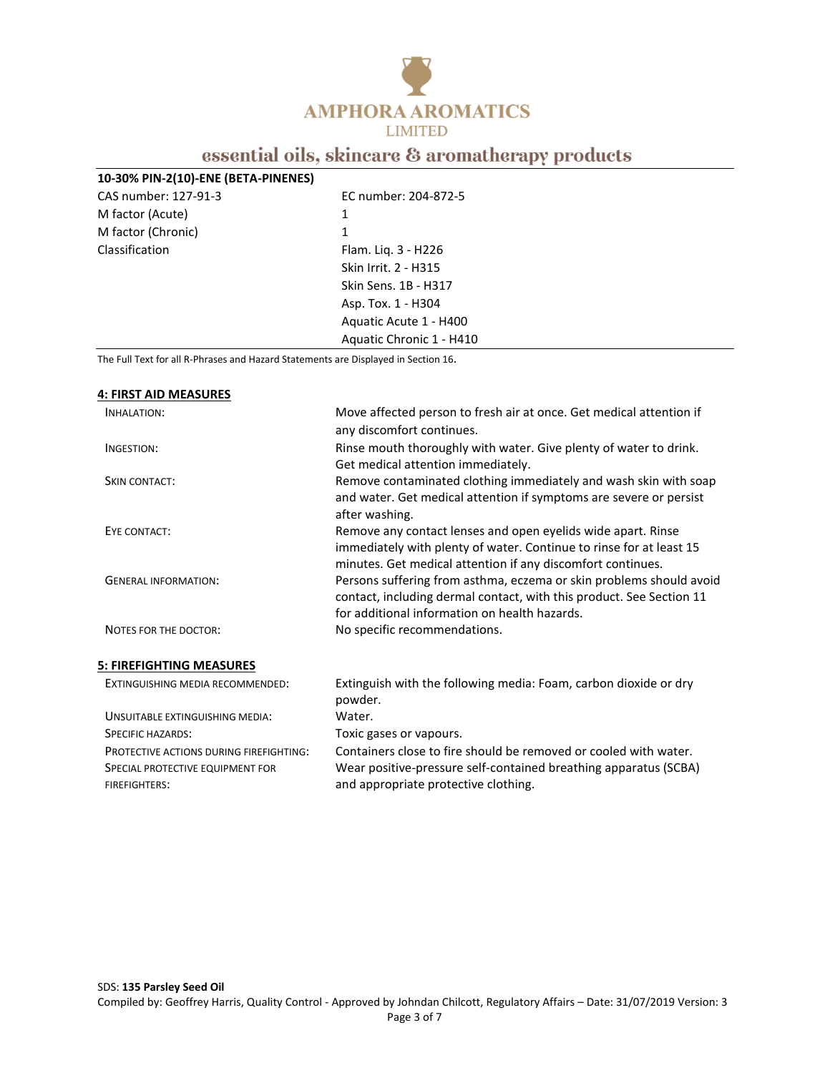

## **10-30% PIN-2(10)-ENE (BETA-PINENES)**

M factor (Acute) 1 M factor (Chronic) 1

CAS number: 127-91-3 EC number: 204-872-5 Classification Flam. Liq. 3 - H226 Skin Irrit. 2 - H315 Skin Sens. 1B - H317 Asp. Tox. 1 - H304 Aquatic Acute 1 - H400 Aquatic Chronic 1 - H410

The Full Text for all R-Phrases and Hazard Statements are Displayed in Section 16.

## **4: FIRST AID MEASURES**

| INHALATION:                 | Move affected person to fresh air at once. Get medical attention if  |
|-----------------------------|----------------------------------------------------------------------|
|                             | any discomfort continues.                                            |
| INGESTION:                  | Rinse mouth thoroughly with water. Give plenty of water to drink.    |
|                             | Get medical attention immediately.                                   |
| SKIN CONTACT:               | Remove contaminated clothing immediately and wash skin with soap     |
|                             | and water. Get medical attention if symptoms are severe or persist   |
|                             | after washing.                                                       |
| EYE CONTACT:                | Remove any contact lenses and open eyelids wide apart. Rinse         |
|                             | immediately with plenty of water. Continue to rinse for at least 15  |
|                             | minutes. Get medical attention if any discomfort continues.          |
| <b>GENERAL INFORMATION:</b> | Persons suffering from asthma, eczema or skin problems should avoid  |
|                             | contact, including dermal contact, with this product. See Section 11 |
|                             | for additional information on health hazards.                        |
| NOTES FOR THE DOCTOR:       | No specific recommendations.                                         |
|                             |                                                                      |

#### **5: FIREFIGHTING MEASURES**

| EXTINGUISHING MEDIA RECOMMENDED:               | Extinguish with the following media: Foam, carbon dioxide or dry<br>powder. |
|------------------------------------------------|-----------------------------------------------------------------------------|
| UNSUITABLE EXTINGUISHING MEDIA:                | Water.                                                                      |
| SPECIFIC HAZARDS:                              | Toxic gases or vapours.                                                     |
| <b>PROTECTIVE ACTIONS DURING FIREFIGHTING:</b> | Containers close to fire should be removed or cooled with water.            |
| SPECIAL PROTECTIVE EQUIPMENT FOR               | Wear positive-pressure self-contained breathing apparatus (SCBA)            |
| <b>FIREFIGHTERS:</b>                           | and appropriate protective clothing.                                        |
|                                                |                                                                             |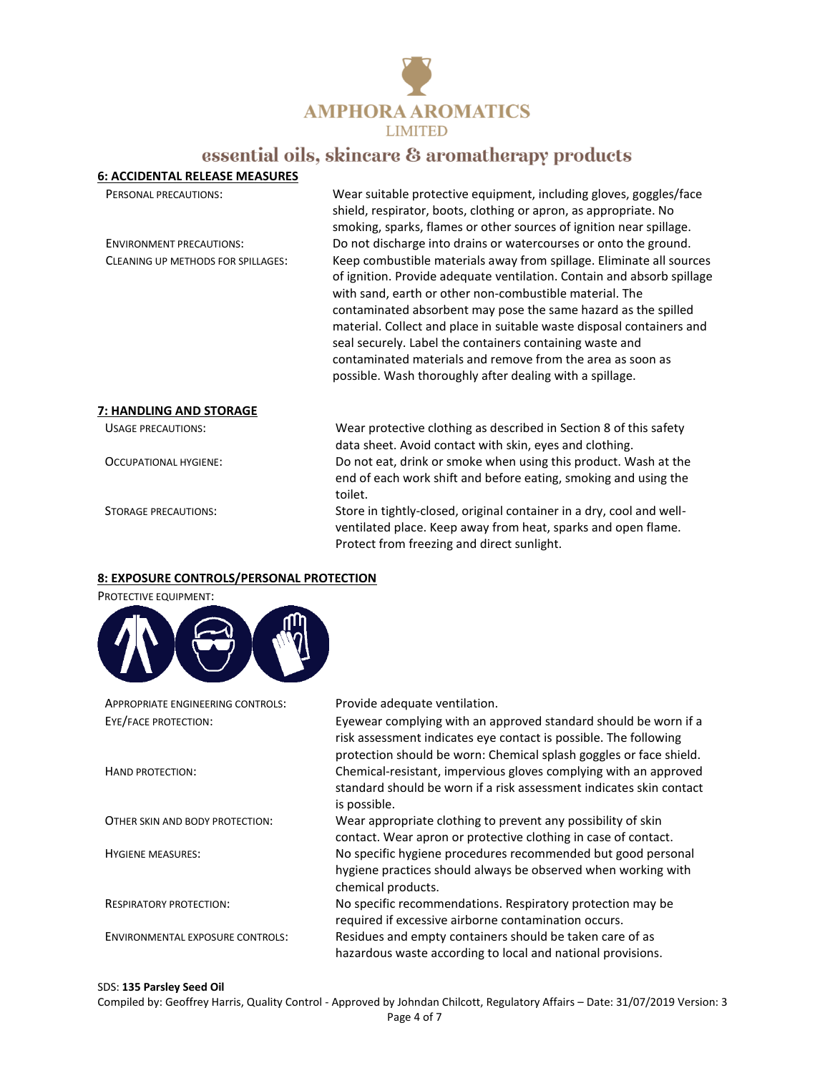

## **6: ACCIDENTAL RELEASE MEASURES**

| PERSONAL PRECAUTIONS:              | Wear suitable protective equipment, including gloves, goggles/face<br>shield, respirator, boots, clothing or apron, as appropriate. No<br>smoking, sparks, flames or other sources of ignition near spillage.                                                                                                                                                                                                                                                                                                                              |  |
|------------------------------------|--------------------------------------------------------------------------------------------------------------------------------------------------------------------------------------------------------------------------------------------------------------------------------------------------------------------------------------------------------------------------------------------------------------------------------------------------------------------------------------------------------------------------------------------|--|
| <b>ENVIRONMENT PRECAUTIONS:</b>    | Do not discharge into drains or watercourses or onto the ground.                                                                                                                                                                                                                                                                                                                                                                                                                                                                           |  |
| CLEANING UP METHODS FOR SPILLAGES: | Keep combustible materials away from spillage. Eliminate all sources<br>of ignition. Provide adequate ventilation. Contain and absorb spillage<br>with sand, earth or other non-combustible material. The<br>contaminated absorbent may pose the same hazard as the spilled<br>material. Collect and place in suitable waste disposal containers and<br>seal securely. Label the containers containing waste and<br>contaminated materials and remove from the area as soon as<br>possible. Wash thoroughly after dealing with a spillage. |  |
| 7: HANDLING AND STORAGE            |                                                                                                                                                                                                                                                                                                                                                                                                                                                                                                                                            |  |
| <b>USAGE PRECAUTIONS:</b>          | Wear protective clothing as described in Section 8 of this safety<br>data sheet. Avoid contact with skin, eyes and clothing.                                                                                                                                                                                                                                                                                                                                                                                                               |  |
| <b>OCCUPATIONAL HYGIENE:</b>       | Do not eat, drink or smoke when using this product. Wash at the<br>end of each work shift and before eating, smoking and using the<br>toilet.                                                                                                                                                                                                                                                                                                                                                                                              |  |
| <b>STORAGE PRECAUTIONS:</b>        | Store in tightly-closed, original container in a dry, cool and well-<br>ventilated place. Keep away from heat, sparks and open flame.<br>Protect from freezing and direct sunlight.                                                                                                                                                                                                                                                                                                                                                        |  |

### **8: EXPOSURE CONTROLS/PERSONAL PROTECTION**



APPROPRIATE ENGINEERING CONTROLS: Provide adequate ventilation.

| EYE/FACE PROTECTION:                    | Eyewear complying with an approved standard should be worn if a<br>risk assessment indicates eye contact is possible. The following                                                                           |
|-----------------------------------------|---------------------------------------------------------------------------------------------------------------------------------------------------------------------------------------------------------------|
| <b>HAND PROTECTION:</b>                 | protection should be worn: Chemical splash goggles or face shield.<br>Chemical-resistant, impervious gloves complying with an approved<br>standard should be worn if a risk assessment indicates skin contact |
|                                         | is possible.                                                                                                                                                                                                  |
| OTHER SKIN AND BODY PROTECTION:         | Wear appropriate clothing to prevent any possibility of skin<br>contact. Wear apron or protective clothing in case of contact.                                                                                |
| <b>HYGIENE MEASURES:</b>                | No specific hygiene procedures recommended but good personal<br>hygiene practices should always be observed when working with<br>chemical products.                                                           |
| <b>RESPIRATORY PROTECTION:</b>          | No specific recommendations. Respiratory protection may be<br>required if excessive airborne contamination occurs.                                                                                            |
| <b>ENVIRONMENTAL EXPOSURE CONTROLS:</b> | Residues and empty containers should be taken care of as<br>hazardous waste according to local and national provisions.                                                                                       |

#### SDS: **135 Parsley Seed Oil**

Compiled by: Geoffrey Harris, Quality Control - Approved by Johndan Chilcott, Regulatory Affairs – Date: 31/07/2019 Version: 3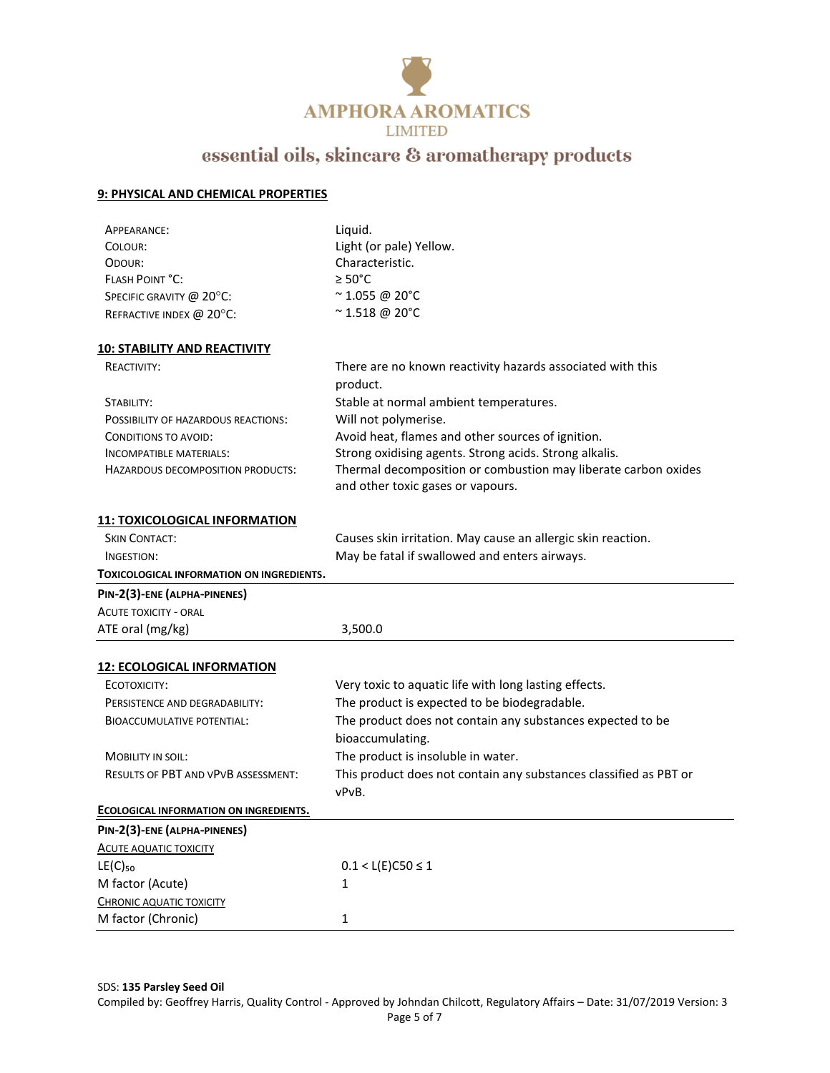

## **9: PHYSICAL AND CHEMICAL PROPERTIES**

| APPEARANCE:<br>COLOUR:<br>ODOUR:<br><b>FLASH POINT °C:</b><br>SPECIFIC GRAVITY @ 20°C:<br>REFRACTIVE INDEX @ 20°C: | Liquid.<br>Light (or pale) Yellow.<br>Characteristic.<br>$\geq 50^{\circ}$ C<br>$\degree$ 1.055 @ 20 $\degree$ C<br>$~^{\circ}$ 1.518 @ 20 $^{\circ}$ C |
|--------------------------------------------------------------------------------------------------------------------|---------------------------------------------------------------------------------------------------------------------------------------------------------|
| <b>10: STABILITY AND REACTIVITY</b>                                                                                |                                                                                                                                                         |
| <b>REACTIVITY:</b>                                                                                                 | There are no known reactivity hazards associated with this<br>product.                                                                                  |
| STABILITY:                                                                                                         | Stable at normal ambient temperatures.                                                                                                                  |
| POSSIBILITY OF HAZARDOUS REACTIONS:                                                                                | Will not polymerise.                                                                                                                                    |
| CONDITIONS TO AVOID:                                                                                               | Avoid heat, flames and other sources of ignition.                                                                                                       |
| INCOMPATIBLE MATERIALS:                                                                                            | Strong oxidising agents. Strong acids. Strong alkalis.                                                                                                  |
| HAZARDOUS DECOMPOSITION PRODUCTS:                                                                                  | Thermal decomposition or combustion may liberate carbon oxides<br>and other toxic gases or vapours.                                                     |
| <b>11: TOXICOLOGICAL INFORMATION</b>                                                                               |                                                                                                                                                         |
| <b>SKIN CONTACT:</b>                                                                                               | Causes skin irritation. May cause an allergic skin reaction.                                                                                            |
| INGESTION:                                                                                                         | May be fatal if swallowed and enters airways.                                                                                                           |
| TOXICOLOGICAL INFORMATION ON INGREDIENTS.                                                                          |                                                                                                                                                         |
| PIN-2(3)-ENE (ALPHA-PINENES)                                                                                       |                                                                                                                                                         |
| <b>ACUTE TOXICITY - ORAL</b>                                                                                       |                                                                                                                                                         |
| ATE oral (mg/kg)                                                                                                   | 3,500.0                                                                                                                                                 |
|                                                                                                                    |                                                                                                                                                         |
| <b>12: ECOLOGICAL INFORMATION</b><br>ECOTOXICITY:                                                                  | Very toxic to aquatic life with long lasting effects.                                                                                                   |
| PERSISTENCE AND DEGRADABILITY:                                                                                     | The product is expected to be biodegradable.                                                                                                            |
| BIOACCUMULATIVE POTENTIAL:                                                                                         | The product does not contain any substances expected to be                                                                                              |
|                                                                                                                    | bioaccumulating.                                                                                                                                        |
| <b>MOBILITY IN SOIL:</b>                                                                                           | The product is insoluble in water.                                                                                                                      |
| <b>RESULTS OF PBT AND VPVB ASSESSMENT:</b>                                                                         | This product does not contain any substances classified as PBT or                                                                                       |
|                                                                                                                    | vPvB.                                                                                                                                                   |
| <b>ECOLOGICAL INFORMATION ON INGREDIENTS.</b>                                                                      |                                                                                                                                                         |
| PIN-2(3)-ENE (ALPHA-PINENES)                                                                                       |                                                                                                                                                         |
| <b>ACUTE AQUATIC TOXICITY</b>                                                                                      |                                                                                                                                                         |
| $LE(C)_{50}$                                                                                                       | $0.1 < L(E)$ C50 ≤ 1                                                                                                                                    |
| M factor (Acute)                                                                                                   | 1                                                                                                                                                       |
| <b>CHRONIC AQUATIC TOXICITY</b>                                                                                    |                                                                                                                                                         |
| M factor (Chronic)                                                                                                 | 1                                                                                                                                                       |

SDS: **135 Parsley Seed Oil** Compiled by: Geoffrey Harris, Quality Control - Approved by Johndan Chilcott, Regulatory Affairs – Date: 31/07/2019 Version: 3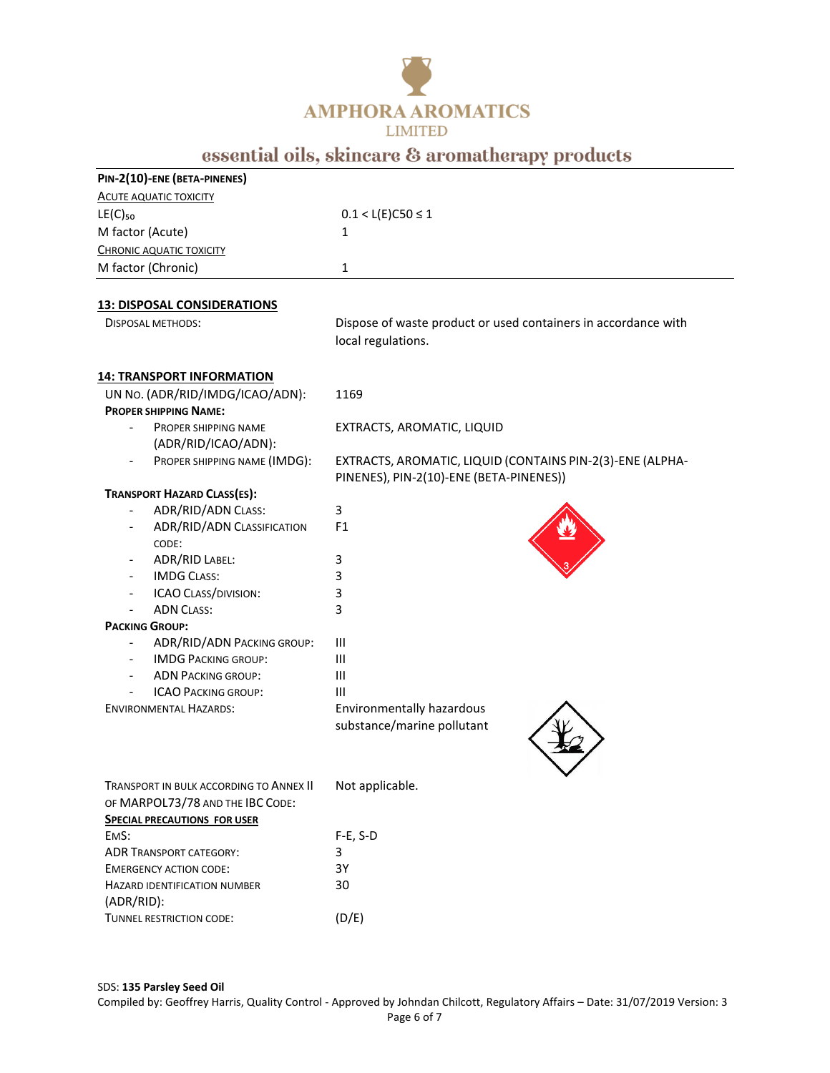

| PIN-2(10)-ENE (BETA-PINENES)                                                |                                                                                                      |  |
|-----------------------------------------------------------------------------|------------------------------------------------------------------------------------------------------|--|
| <b>ACUTE AQUATIC TOXICITY</b>                                               |                                                                                                      |  |
| $LE(C)_{50}$                                                                | $0.1 < L(E)$ C50 ≤ 1                                                                                 |  |
| M factor (Acute)                                                            | $\mathbf{1}$                                                                                         |  |
| <b>CHRONIC AQUATIC TOXICITY</b>                                             |                                                                                                      |  |
| M factor (Chronic)                                                          | 1                                                                                                    |  |
| <b>13: DISPOSAL CONSIDERATIONS</b>                                          |                                                                                                      |  |
| <b>DISPOSAL METHODS:</b>                                                    | Dispose of waste product or used containers in accordance with                                       |  |
|                                                                             | local regulations.                                                                                   |  |
| <b>14: TRANSPORT INFORMATION</b>                                            |                                                                                                      |  |
| UN No. (ADR/RID/IMDG/ICAO/ADN):                                             | 1169                                                                                                 |  |
| <b>PROPER SHIPPING NAME:</b>                                                |                                                                                                      |  |
| PROPER SHIPPING NAME                                                        | EXTRACTS, AROMATIC, LIQUID                                                                           |  |
| (ADR/RID/ICAO/ADN):                                                         |                                                                                                      |  |
| PROPER SHIPPING NAME (IMDG):                                                | EXTRACTS, AROMATIC, LIQUID (CONTAINS PIN-2(3)-ENE (ALPHA-<br>PINENES), PIN-2(10)-ENE (BETA-PINENES)) |  |
| <b>TRANSPORT HAZARD CLASS(ES):</b>                                          |                                                                                                      |  |
| ADR/RID/ADN CLASS:<br>$\overline{\phantom{a}}$                              | 3                                                                                                    |  |
| <b>ADR/RID/ADN CLASSIFICATION</b>                                           | F <sub>1</sub>                                                                                       |  |
| CODE:                                                                       |                                                                                                      |  |
| ADR/RID LABEL:                                                              | 3                                                                                                    |  |
| <b>IMDG CLASS:</b>                                                          | 3                                                                                                    |  |
| ICAO CLASS/DIVISION:<br>$\overline{\phantom{a}}$                            | 3                                                                                                    |  |
| <b>ADN CLASS:</b><br>$\blacksquare$                                         | 3                                                                                                    |  |
| <b>PACKING GROUP:</b><br>ADR/RID/ADN PACKING GROUP:                         | Ш                                                                                                    |  |
| <b>IMDG PACKING GROUP:</b>                                                  | Ш                                                                                                    |  |
| <b>ADN PACKING GROUP:</b>                                                   | III                                                                                                  |  |
| <b>ICAO PACKING GROUP:</b>                                                  | Ш                                                                                                    |  |
| <b>ENVIRONMENTAL HAZARDS:</b>                                               | Environmentally hazardous<br>substance/marine pollutant                                              |  |
| TRANSPORT IN BULK ACCORDING TO ANNEX II<br>OF MARPOL73/78 AND THE IBC CODE: | Not applicable.                                                                                      |  |

| OF IVIAILE OLI 37 76 AND THE IDC CODE. |            |
|----------------------------------------|------------|
| <b>SPECIAL PRECAUTIONS FOR USER</b>    |            |
| EMS:                                   | $F-E, S-D$ |
| <b>ADR TRANSPORT CATEGORY:</b>         | 3          |
| <b>EMERGENCY ACTION CODE:</b>          | 3Υ         |
| <b>HAZARD IDENTIFICATION NUMBER</b>    | 30         |
| $(ADR/RID)$ :                          |            |
| TUNNEL RESTRICTION CODE:               | (D/E)      |